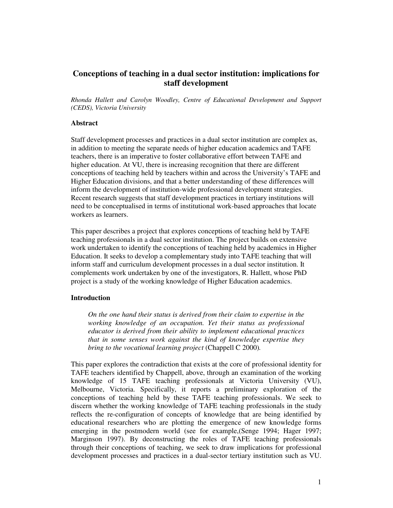# **Conceptions of teaching in a dual sector institution: implications for staff development**

*Rhonda Hallett and Carolyn Woodley, Centre of Educational Development and Support (CEDS), Victoria University*

# **Abstract**

Staff development processes and practices in a dual sector institution are complex as, in addition to meeting the separate needs of higher education academics and TAFE teachers, there is an imperative to foster collaborative effort between TAFE and higher education. At VU, there is increasing recognition that there are different conceptions of teaching held by teachers within and across the University's TAFE and Higher Education divisions, and that a better understanding of these differences will inform the development of institution-wide professional development strategies. Recent research suggests that staff development practices in tertiary institutions will need to be conceptualised in terms of institutional work-based approaches that locate workers as learners.

This paper describes a project that explores conceptions of teaching held by TAFE teaching professionals in a dual sector institution. The project builds on extensive work undertaken to identify the conceptions of teaching held by academics in Higher Education. It seeks to develop a complementary study into TAFE teaching that will inform staff and curriculum development processes in a dual sector institution. It complements work undertaken by one of the investigators, R. Hallett, whose PhD project is a study of the working knowledge of Higher Education academics.

#### **Introduction**

*On the one hand their status is derived from their claim to expertise in the working knowledge of an occupation. Yet their status as professional educator is derived from their ability to implement educational practices that in some senses work against the kind of knowledge expertise they bring to the vocational learning project* (Chappell C 2000)*.*

This paper explores the contradiction that exists at the core of professional identity for TAFE teachers identified by Chappell, above, through an examination of the working knowledge of 15 TAFE teaching professionals at Victoria University (VU), Melbourne, Victoria. Specifically, it reports a preliminary exploration of the conceptions of teaching held by these TAFE teaching professionals. We seek to discern whether the working knowledge of TAFE teaching professionals in the study reflects the re-configuration of concepts of knowledge that are being identified by educational researchers who are plotting the emergence of new knowledge forms emerging in the postmodern world (see for example,(Senge 1994; Hager 1997; Marginson 1997). By deconstructing the roles of TAFE teaching professionals through their conceptions of teaching, we seek to draw implications for professional development processes and practices in a dual-sector tertiary institution such as VU.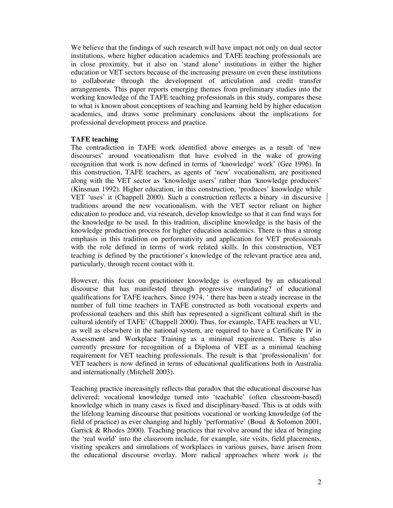We believe that the findings of such research will have impact not only on dual sector institutions, where higher education academics and TAFE teaching professionals are in close proximity, but it also on 'stand alone' institutions in either the higher education or VET sectors because of the increasing pressure on even these institutions to collaborate through the development of articulation and credit transfer arrangements. This paper reports emerging themes from preliminary studies into the working knowledge of the TAFE teaching professionals in this study, compares these to what is known about conceptions of teaching and learning held by higher education academics, and draws some preliminary conclusions about the implications for professional development process and practice.

# **TAFE teaching**

The contradiction in TAFE work identified above emerges as a result of 'new discourses' around vocationalism that have evolved in the wake of growing recognition that work is now defined in terms of 'knowledge' work' (Gee 1996). In this construction, TAFE teachers, as agents of 'new' vocationalism, are positioned along with the VET sector as 'knowledge users' rather than 'knowledge producers' (Kinsman 1992). Higher education, in this construction, 'produces' knowledge while VET 'uses' it (Chappell 2000). Such a construction reflects a binary -in discursive traditions around the new vocationalism, with the VET sector reliant on higher education to produce and, via research, develop knowledge so that it can find ways for the knowledge to be used. In this tradition, discipline knowledge is the basis of the knowledge production process for higher education academics. There is thus a strong emphasis in this tradition on performativity and application for VET professionals with the role defined in terms of work related skills. In this construction, VET teaching is defined by the practitioner's knowledge of the relevant practice area and, particularly, through recent contact with it.

However, this focus on practitioner knowledge is overlayed by an educational discourse that has manifested through progressive mandating? of educational qualifications for TAFE teachers. Since 1974, ' there has been a steady increase in the number of full time teachers in TAFE constructed as both vocational experts and professional teachers and this shift has represented a significant cultural shift in the cultural identify of TAFE' (Chappell 2000). Thus, for example, TAFE teachers at VU, as well as elsewhere in the national system, are required to have a Certificate IV in Assessment and Workplace Training as a minimal requirement. There is also currently pressure for recognition of a Diploma of VET as a minimal teaching requirement for VET teaching professionals. The result is that 'professionalism' for VET teachers is now defined in terms of educational qualifications both in Australia and internationally (Mitchell 2003).

Teaching practice increasingly reflects that paradox that the educational discourse has delivered: vocational knowledge turned into 'teachable' (often classroom-based) knowledge which in many cases is fixed and disciplinary-based. This is at odds with the lifelong learning discourse that positions vocational or working knowledge (of the field of practice) as ever changing and highly 'performative' (Boud & Solomon 2001, Garrick & Rhodes 2000). Teaching practices that revolve around the idea of bringing the 'real world' into the classroom include, for example, site visits, field placements, visiting speakers and simulations of workplaces in various guises, have arisen from the educational discourse overlay. More radical approaches where work *is* the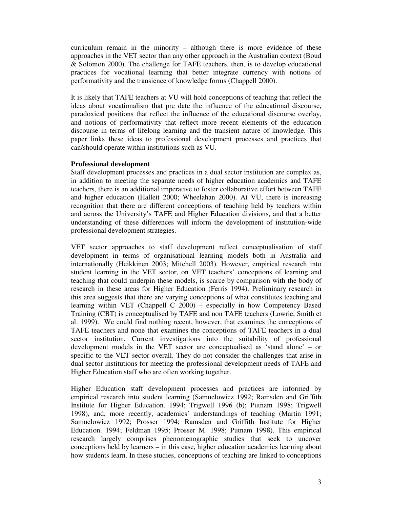curriculum remain in the minority – although there is more evidence of these approaches in the VET sector than any other approach in the Australian context (Boud & Solomon 2000). The challenge for TAFE teachers, then, is to develop educational practices for vocational learning that better integrate currency with notions of performativity and the transience of knowledge forms (Chappell 2000).

It is likely that TAFE teachers at VU will hold conceptions of teaching that reflect the ideas about vocationalism that pre date the influence of the educational discourse, paradoxical positions that reflect the influence of the educational discourse overlay, and notions of performativity that reflect more recent elements of the education discourse in terms of lifelong learning and the transient nature of knowledge. This paper links these ideas to professional development processes and practices that can/should operate within institutions such as VU.

# **Professional development**

Staff development processes and practices in a dual sector institution are complex as, in addition to meeting the separate needs of higher education academics and TAFE teachers, there is an additional imperative to foster collaborative effort between TAFE and higher education (Hallett 2000; Wheelahan 2000). At VU, there is increasing recognition that there are different conceptions of teaching held by teachers within and across the University's TAFE and Higher Education divisions, and that a better understanding of these differences will inform the development of institution-wide professional development strategies.

VET sector approaches to staff development reflect conceptualisation of staff development in terms of organisational learning models both in Australia and internationally (Heikkinen 2003; Mitchell 2003). However, empirical research into student learning in the VET sector, on VET teachers' conceptions of learning and teaching that could underpin these models, is scarce by comparison with the body of research in these areas for Higher Education (Ferris 1994). Preliminary research in this area suggests that there are varying conceptions of what constitutes teaching and learning within VET (Chappell C 2000) – especially in how Competency Based Training (CBT) is conceptualised by TAFE and non TAFE teachers (Lowrie, Smith et al. 1999). We could find nothing recent, however, that examines the conceptions of TAFE teachers and none that examines the conceptions of TAFE teachers in a dual sector institution. Current investigations into the suitability of professional development models in the VET sector are conceptualised as 'stand alone' – or specific to the VET sector overall. They do not consider the challenges that arise in dual sector institutions for meeting the professional development needs of TAFE and Higher Education staff who are often working together.

Higher Education staff development processes and practices are informed by empirical research into student learning (Samuelowicz 1992; Ramsden and Griffith Institute for Higher Education. 1994; Trigwell 1996 (b); Putnam 1998; Trigwell 1998), and, more recently, academics' understandings of teaching (Martin 1991; Samuelowicz 1992; Prosser 1994; Ramsden and Griffith Institute for Higher Education. 1994; Feldman 1995; Prosser M. 1998; Putnam 1998). This empirical research largely comprises phenomenographic studies that seek to uncover conceptions held by learners – in this case, higher education academics learning about how students learn. In these studies, conceptions of teaching are linked to conceptions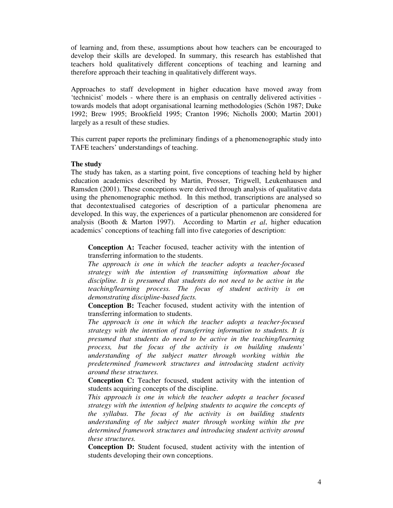of learning and, from these, assumptions about how teachers can be encouraged to develop their skills are developed. In summary, this research has established that teachers hold qualitatively different conceptions of teaching and learning and therefore approach their teaching in qualitatively different ways.

Approaches to staff development in higher education have moved away from 'technicist' models - where there is an emphasis on centrally delivered activities towards models that adopt organisational learning methodologies (Schön 1987; Duke 1992; Brew 1995; Brookfield 1995; Cranton 1996; Nicholls 2000; Martin 2001) largely as a result of these studies.

This current paper reports the preliminary findings of a phenomenographic study into TAFE teachers' understandings of teaching.

#### **The study**

The study has taken, as a starting point, five conceptions of teaching held by higher education academics described by Martin, Prosser, Trigwell, Leukenhausen and Ramsden (2001). These conceptions were derived through analysis of qualitative data using the phenomenographic method. In this method, transcriptions are analysed so that decontextualised categories of description of a particular phenomena are developed. In this way, the experiences of a particular phenomenon are considered for analysis (Booth & Marton 1997). According to Martin *et al*, higher education academics' conceptions of teaching fall into five categories of description:

**Conception A:** Teacher focused, teacher activity with the intention of transferring information to the students.

*The approach is one in which the teacher adopts a teacher-focused strategy with the intention of transmitting information about the discipline. It is presumed that students do not need to be active in the teaching/learning process. The focus of student activity is on demonstrating discipline-based facts.*

**Conception B:** Teacher focused, student activity with the intention of transferring information to students.

*The approach is one in which the teacher adopts a teacher-focused strategy with the intention of transferring information to students. It is presumed that students do need to be active in the teaching/learning process, but the focus of the activity is on building students' understanding of the subject matter through working within the predetermined framework structures and introducing student activity around these structures.*

**Conception C:** Teacher focused, student activity with the intention of students acquiring concepts of the discipline.

*This approach is one in which the teacher adopts a teacher focused strategy with the intention of helping students to acquire the concepts of the syllabus. The focus of the activity is on building students understanding of the subject mater through working within the pre determined framework structures and introducing student activity around these structures.*

**Conception D:** Student focused, student activity with the intention of students developing their own conceptions.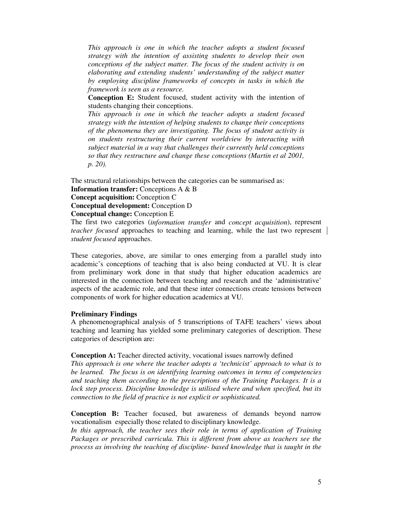*This approach is one in which the teacher adopts a student focused strategy with the intention of assisting students to develop their own conceptions of the subject matter. The focus of the student activity is on elaborating and extending students' understanding of the subject matter by employing discipline frameworks of concepts in tasks in which the framework is seen as a resource.*

**Conception E:** Student focused, student activity with the intention of students changing their conceptions.

*This approach is one in which the teacher adopts a student focused strategy with the intention of helping students to change their conceptions of the phenomena they are investigating. The focus of student activity is on students restructuring their current worldview by interacting with subject material in a way that challenges their currently held conceptions so that they restructure and change these conceptions (Martin et al 2001, p. 20).*

The structural relationships between the categories can be summarised as:

**Information transfer:** Conceptions A & B

**Concept acquisition:** Conception C

**Conceptual development:** Conception D

**Conceptual change:** Conception E

The first two categories (*information transfer* and *concept acquisition*), represent *teacher focused* approaches to teaching and learning, while the last two represent *student focused* approaches.

These categories, above, are similar to ones emerging from a parallel study into academic's conceptions of teaching that is also being conducted at VU. It is clear from preliminary work done in that study that higher education academics are interested in the connection between teaching and research and the 'administrative' aspects of the academic role, and that these inter connections create tensions between components of work for higher education academics at VU.

# **Preliminary Findings**

A phenomenographical analysis of 5 transcriptions of TAFE teachers' views about teaching and learning has yielded some preliminary categories of description. These categories of description are:

**Conception A:** Teacher directed activity, vocational issues narrowly defined

*This approach is one where the teacher adopts a 'technicist' approach to what is to be learned. The focus is on identifying learning outcomes in terms of competencies and teaching them according to the prescriptions of the Training Packages. It is a lock step process. Discipline knowledge is utilised where and when specified, but its connection to the field of practice is not explicit or sophisticated.*

**Conception B:** Teacher focused, but awareness of demands beyond narrow vocationalism especially those related to disciplinary knowledge.

*In this approach, the teacher sees their role in terms of application of Training Packages or prescribed curricula. This is different from above as teachers see the process as involving the teaching of discipline- based knowledge that is taught in the*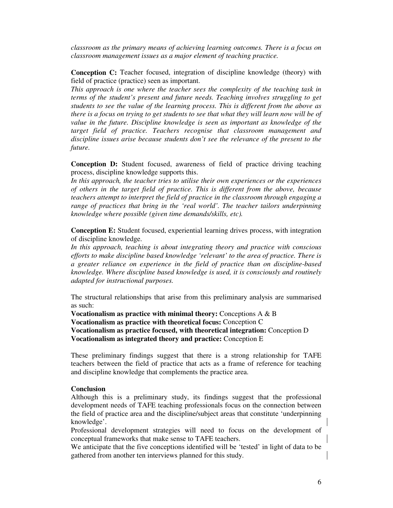*classroom as the primary means of achieving learning outcomes. There is a focus on classroom management issues as a major element of teaching practice.*

**Conception C:** Teacher focused, integration of discipline knowledge (theory) with field of practice (practice) seen as important.

*This approach is one where the teacher sees the complexity of the teaching task in terms of the student's present and future needs. Teaching involves struggling to get students to see the value of the learning process. This is different from the above as* there is a focus on trying to get students to see that what they will learn now will be of *value in the future. Discipline knowledge is seen as important as knowledge of the target field of practice. Teachers recognise that classroom management and discipline issues arise because students don't see the relevance of the present to the future.*

**Conception D:** Student focused, awareness of field of practice driving teaching process, discipline knowledge supports this.

*In this approach, the teacher tries to utilise their own experiences or the experiences of others in the target field of practice. This is different from the above, because teachers attempt to interpret the field of practice in the classroom through engaging a range of practices that bring in the 'real world'. The teacher tailors underpinning knowledge where possible (given time demands/skills, etc).*

**Conception E:** Student focused, experiential learning drives process, with integration of discipline knowledge.

*In this approach, teaching is about integrating theory and practice with conscious efforts to make discipline based knowledge 'relevant' to the area of practice. There is a greater reliance on experience in the field of practice than on discipline-based knowledge. Where discipline based knowledge is used, it is consciously and routinely adapted for instructional purposes.*

The structural relationships that arise from this preliminary analysis are summarised as such:

**Vocationalism as practice with minimal theory:** Conceptions A & B **Vocationalism as practice with theoretical focus:** Conception C **Vocationalism as practice focused, with theoretical integration:** Conception D **Vocationalism as integrated theory and practice:** Conception E

These preliminary findings suggest that there is a strong relationship for TAFE teachers between the field of practice that acts as a frame of reference for teaching and discipline knowledge that complements the practice area.

#### **Conclusion**

Although this is a preliminary study, its findings suggest that the professional development needs of TAFE teaching professionals focus on the connection between the field of practice area and the discipline/subject areas that constitute 'underpinning knowledge'.

Professional development strategies will need to focus on the development of conceptual frameworks that make sense to TAFE teachers.

We anticipate that the five conceptions identified will be 'tested' in light of data to be gathered from another ten interviews planned for this study.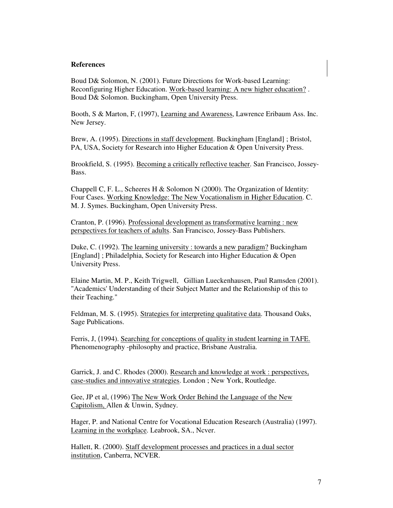#### **References**

Boud D& Solomon, N. (2001). Future Directions for Work-based Learning: Reconfiguring Higher Education. Work-based learning: A new higher education? . Boud D& Solomon. Buckingham, Open University Press.

Booth, S & Marton, F, (1997), Learning and Awareness, Lawrence Eribaum Ass. Inc. New Jersey.

Brew, A. (1995). Directions in staff development. Buckingham [England] ; Bristol, PA, USA, Society for Research into Higher Education & Open University Press.

Brookfield, S. (1995). Becoming a critically reflective teacher. San Francisco, Jossey-Bass.

Chappell C, F. L., Scheeres H & Solomon N (2000). The Organization of Identity: Four Cases. Working Knowledge: The New Vocationalism in Higher Education. C. M. J. Symes. Buckingham, Open University Press.

Cranton, P. (1996). Professional development as transformative learning : new perspectives for teachers of adults. San Francisco, Jossey-Bass Publishers.

Duke, C. (1992). The learning university : towards a new paradigm? Buckingham [England] ; Philadelphia, Society for Research into Higher Education & Open University Press.

Elaine Martin, M. P., Keith Trigwell, Gillian Lueckenhausen, Paul Ramsden (2001). "Academics'Understanding of their Subject Matter and the Relationship of this to their Teaching."

Feldman, M. S. (1995). Strategies for interpreting qualitative data. Thousand Oaks, Sage Publications.

Ferris, J, (1994). Searching for conceptions of quality in student learning in TAFE. Phenomenography -philosophy and practice, Brisbane Australia.

Garrick, J. and C. Rhodes (2000). Research and knowledge at work : perspectives, case-studies and innovative strategies. London ; New York, Routledge.

Gee, JP et al, (1996) The New Work Order Behind the Language of the New Capitolism, Allen & Unwin, Sydney.

Hager, P. and National Centre for Vocational Education Research (Australia) (1997). Learning in the workplace. Leabrook, SA., Ncver.

Hallett, R. (2000). Staff development processes and practices in a dual sector institution, Canberra, NCVER.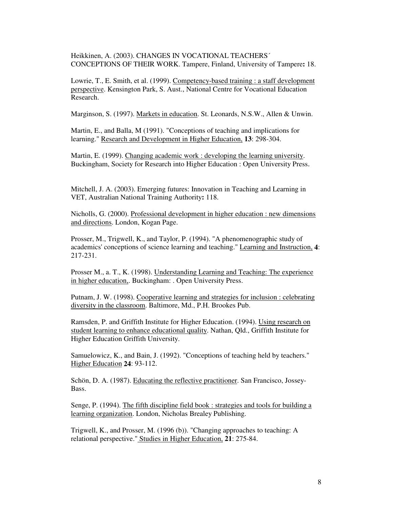Heikkinen, A. (2003). CHANGES IN VOCATIONAL TEACHERS´ CONCEPTIONS OF THEIR WORK. Tampere, Finland, University of Tampere**:** 18.

Lowrie, T., E. Smith, et al. (1999). Competency-based training : a staff development perspective. Kensington Park, S. Aust., National Centre for Vocational Education Research.

Marginson, S. (1997). Markets in education. St. Leonards, N.S.W., Allen & Unwin.

Martin, E., and Balla, M (1991). "Conceptions of teaching and implications for learning." Research and Development in Higher Education, **13**: 298-304.

Martin, E. (1999). Changing academic work : developing the learning university. Buckingham, Society for Research into Higher Education : Open University Press.

Mitchell, J. A. (2003). Emerging futures: Innovation in Teaching and Learning in VET, Australian National Training Authority**:** 118.

Nicholls, G. (2000). Professional development in higher education : new dimensions and directions. London, Kogan Page.

Prosser, M., Trigwell, K., and Taylor, P. (1994). "A phenomenographic study of academics'conceptions of science learning and teaching." Learning and Instruction, **4**: 217-231.

Prosser M., a. T., K. (1998). Understanding Learning and Teaching: The experience in higher education,. Buckingham: . Open University Press.

Putnam, J. W. (1998). Cooperative learning and strategies for inclusion : celebrating diversity in the classroom. Baltimore, Md., P.H. Brookes Pub.

Ramsden, P. and Griffith Institute for Higher Education. (1994). Using research on student learning to enhance educational quality. Nathan, Qld., Griffith Institute for Higher Education Griffith University.

Samuelowicz, K., and Bain, J. (1992). "Conceptions of teaching held by teachers." Higher Education **24**: 93-112.

Schön, D. A. (1987). Educating the reflective practitioner. San Francisco, Jossey-Bass.

Senge, P. (1994). The fifth discipline field book : strategies and tools for building a learning organization. London, Nicholas Brealey Publishing.

Trigwell, K., and Prosser, M. (1996 (b)). "Changing approaches to teaching: A relational perspective." Studies in Higher Education, **21**: 275-84.